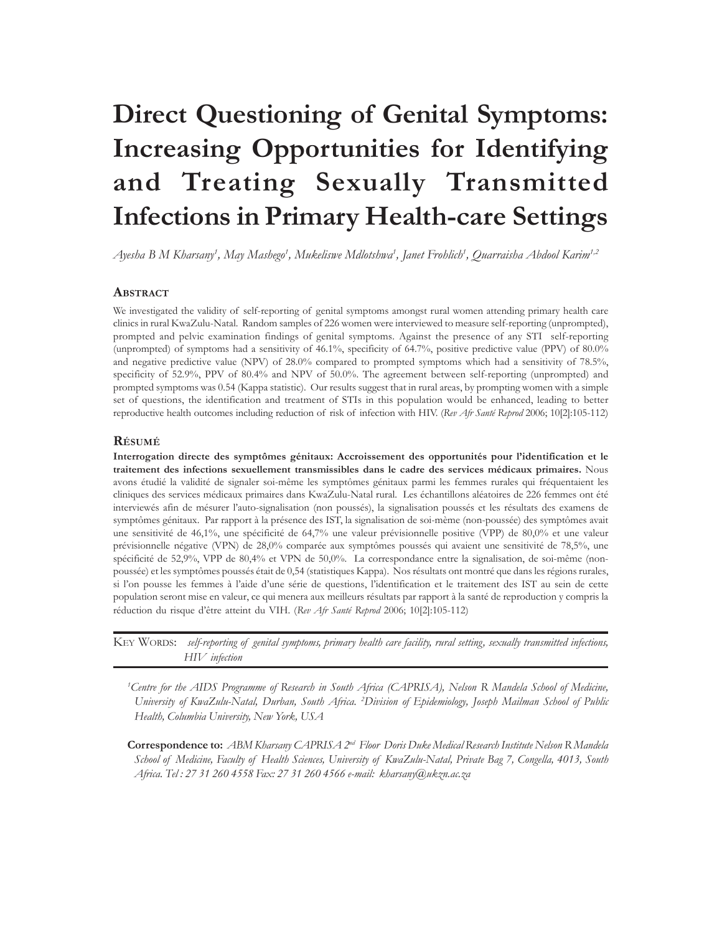# **Direct Questioning of Genital Symptoms: Increasing Opportunities for Identifying and Treating Sexually Transmitted Infections in Primary Health-care Settings**

*Ayesha B M Kharsany1 , May Mashego1 , Mukeliswe Mdlotshwa1 , Janet Frohlich1 , Quarraisha Abdool Karim1,2*

## **ABSTRACT**

We investigated the validity of self-reporting of genital symptoms amongst rural women attending primary health care clinics in rural KwaZulu-Natal. Random samples of 226 women were interviewed to measure self-reporting (unprompted), prompted and pelvic examination findings of genital symptoms. Against the presence of any STI self-reporting (unprompted) of symptoms had a sensitivity of 46.1%, specificity of 64.7%, positive predictive value (PPV) of 80.0% and negative predictive value (NPV) of 28.0% compared to prompted symptoms which had a sensitivity of 78.5%, specificity of 52.9%, PPV of 80.4% and NPV of 50.0%. The agreement between self-reporting (unprompted) and prompted symptoms was 0.54 (Kappa statistic). Our results suggest that in rural areas, by prompting women with a simple set of questions, the identification and treatment of STIs in this population would be enhanced, leading to better reproductive health outcomes including reduction of risk of infection with HIV. (*Rev Afr Santé Reprod* 2006; 10[2]:105-112)

## **RÉSUMÉ**

**Interrogation directe des symptômes génitaux: Accroissement des opportunités pour l'identification et le traitement des infections sexuellement transmissibles dans le cadre des services médicaux primaires.** Nous avons étudié la validité de signaler soi-même les symptômes génitaux parmi les femmes rurales qui fréquentaient les cliniques des services médicaux primaires dans KwaZulu-Natal rural. Les échantillons aléatoires de 226 femmes ont été interviewés afin de mésurer l'auto-signalisation (non poussés), la signalisation poussés et les résultats des examens de symptômes génitaux. Par rapport à la présence des IST, la signalisation de soi-mème (non-poussée) des symptômes avait une sensitivité de 46,1%, une spécificité de 64,7% une valeur prévisionnelle positive (VPP) de 80,0% et une valeur prévisionnelle négative (VPN) de 28,0% comparée aux symptômes poussés qui avaient une sensitivité de 78,5%, une spécificité de 52,9%, VPP de 80,4% et VPN de 50,0%. La correspondance entre la signalisation, de soi-même (nonpoussée) et les symptômes poussés était de 0,54 (statistiques Kappa). Nos résultats ont montré que dans les régions rurales, si l'on pousse les femmes à l'aide d'une série de questions, l'identification et le traitement des IST au sein de cette population seront mise en valeur, ce qui menera aux meilleurs résultats par rapport à la santé de reproduction y compris la réduction du risque d'être atteint du VIH. (*Rev Afr Santé Reprod* 2006; 10[2]:105-112)

KEY WORDS: *self-reporting of genital symptoms, primary health care facility, rural setting, sexually transmitted infections, HIV infection*

*1 Centre for the AIDS Programme of Research in South Africa (CAPRISA), Nelson R Mandela School of Medicine, University of KwaZulu-Natal, Durban, South Africa. 2 Division of Epidemiology, Joseph Mailman School of Public Health, Columbia University, New York, USA*

**Correspondence to:** *ABM Kharsany CAPRISA 2nd Floor Doris Duke Medical Research Institute Nelson R Mandela School of Medicine, Faculty of Health Sciences, University of KwaZulu-Natal, Private Bag 7, Congella, 4013, South Africa. Tel : 27 31 260 4558 Fax: 27 31 260 4566 e-mail: kharsany@ukzn.ac.za*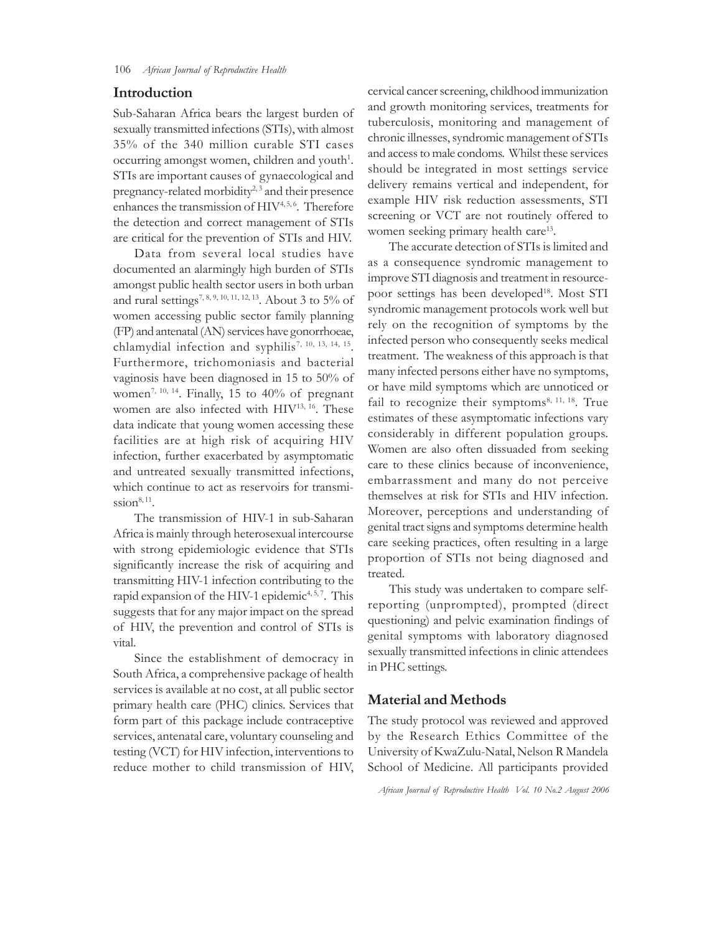## **Introduction**

Sub-Saharan Africa bears the largest burden of sexually transmitted infections (STIs), with almost 35% of the 340 million curable STI cases occurring amongst women, children and youth<sup>1</sup>. STIs are important causes of gynaecological and pregnancy-related morbidity<sup>2,3</sup> and their presence enhances the transmission of HIV<sup>4,5,6</sup>. Therefore the detection and correct management of STIs are critical for the prevention of STIs and HIV.

Data from several local studies have documented an alarmingly high burden of STIs amongst public health sector users in both urban and rural settings<sup>7, 8, 9, 10, 11, 12, 13</sup>. About 3 to 5% of women accessing public sector family planning (FP) and antenatal (AN) services have gonorrhoeae, chlamydial infection and syphilis<sup>7, 10, 13, 14, 15</sup>. Furthermore, trichomoniasis and bacterial vaginosis have been diagnosed in 15 to 50% of women<sup>7, 10, 14</sup>. Finally, 15 to 40% of pregnant women are also infected with HIV<sup>13, 16</sup>. These data indicate that young women accessing these facilities are at high risk of acquiring HIV infection, further exacerbated by asymptomatic and untreated sexually transmitted infections, which continue to act as reservoirs for transmission $8,11$ .

The transmission of HIV-1 in sub-Saharan Africa is mainly through heterosexual intercourse with strong epidemiologic evidence that STIs significantly increase the risk of acquiring and transmitting HIV-1 infection contributing to the rapid expansion of the HIV-1 epidemic<sup>4, 5, 7</sup>. This suggests that for any major impact on the spread of HIV, the prevention and control of STIs is vital.

Since the establishment of democracy in South Africa, a comprehensive package of health services is available at no cost, at all public sector primary health care (PHC) clinics. Services that form part of this package include contraceptive services, antenatal care, voluntary counseling and testing (VCT) for HIV infection, interventions to reduce mother to child transmission of HIV, cervical cancer screening, childhood immunization and growth monitoring services, treatments for tuberculosis, monitoring and management of chronic illnesses, syndromic management of STIs and access to male condoms. Whilst these services should be integrated in most settings service delivery remains vertical and independent, for example HIV risk reduction assessments, STI screening or VCT are not routinely offered to women seeking primary health care<sup>13</sup>.

The accurate detection of STIs is limited and as a consequence syndromic management to improve STI diagnosis and treatment in resourcepoor settings has been developed<sup>18</sup>. Most STI syndromic management protocols work well but rely on the recognition of symptoms by the infected person who consequently seeks medical treatment. The weakness of this approach is that many infected persons either have no symptoms, or have mild symptoms which are unnoticed or fail to recognize their symptoms $8, 11, 18$ . True estimates of these asymptomatic infections vary considerably in different population groups. Women are also often dissuaded from seeking care to these clinics because of inconvenience, embarrassment and many do not perceive themselves at risk for STIs and HIV infection. Moreover, perceptions and understanding of genital tract signs and symptoms determine health care seeking practices, often resulting in a large proportion of STIs not being diagnosed and treated.

This study was undertaken to compare selfreporting (unprompted), prompted (direct questioning) and pelvic examination findings of genital symptoms with laboratory diagnosed sexually transmitted infections in clinic attendees in PHC settings.

# **Material and Methods**

The study protocol was reviewed and approved by the Research Ethics Committee of the University of KwaZulu-Natal, Nelson R Mandela School of Medicine. All participants provided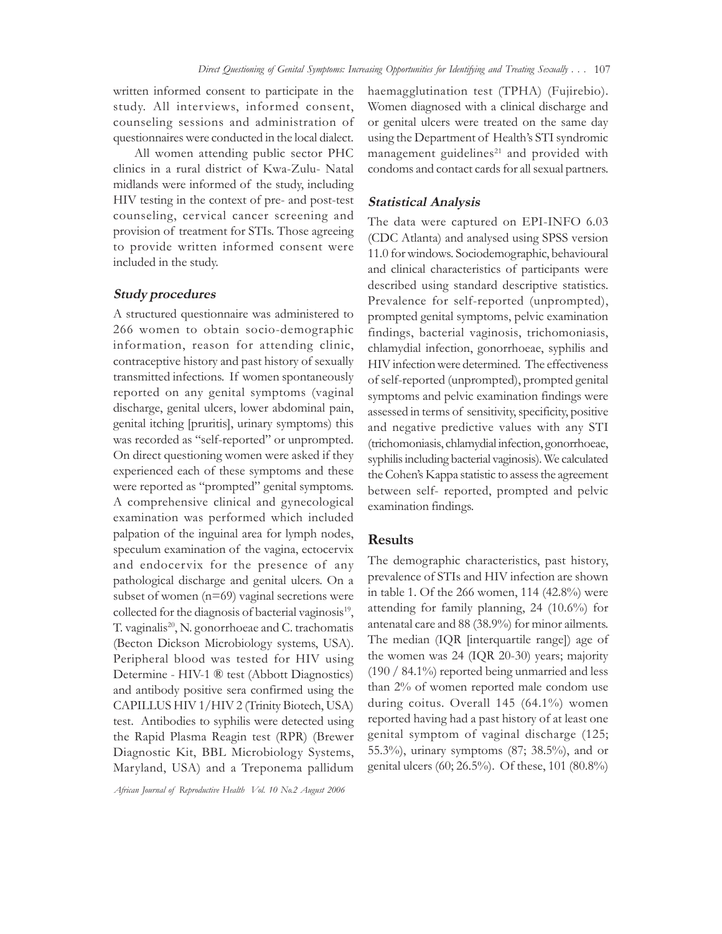written informed consent to participate in the study. All interviews, informed consent, counseling sessions and administration of questionnaires were conducted in the local dialect.

All women attending public sector PHC clinics in a rural district of Kwa-Zulu- Natal midlands were informed of the study, including HIV testing in the context of pre- and post-test counseling, cervical cancer screening and provision of treatment for STIs. Those agreeing to provide written informed consent were included in the study.

## **Study procedures**

A structured questionnaire was administered to 266 women to obtain socio-demographic information, reason for attending clinic, contraceptive history and past history of sexually transmitted infections. If women spontaneously reported on any genital symptoms (vaginal discharge, genital ulcers, lower abdominal pain, genital itching [pruritis], urinary symptoms) this was recorded as "self-reported" or unprompted. On direct questioning women were asked if they experienced each of these symptoms and these were reported as "prompted" genital symptoms. A comprehensive clinical and gynecological examination was performed which included palpation of the inguinal area for lymph nodes, speculum examination of the vagina, ectocervix and endocervix for the presence of any pathological discharge and genital ulcers. On a subset of women (n=69) vaginal secretions were collected for the diagnosis of bacterial vaginosis $19$ , T. vaginalis<sup>20</sup>, N. gonorrhoeae and C. trachomatis (Becton Dickson Microbiology systems, USA). Peripheral blood was tested for HIV using Determine - HIV-1 ® test (Abbott Diagnostics) and antibody positive sera confirmed using the CAPILLUS HIV 1/HIV 2 (Trinity Biotech, USA) test. Antibodies to syphilis were detected using the Rapid Plasma Reagin test (RPR) (Brewer Diagnostic Kit, BBL Microbiology Systems, Maryland, USA) and a Treponema pallidum

haemagglutination test (TPHA) (Fujirebio). Women diagnosed with a clinical discharge and or genital ulcers were treated on the same day using the Department of Health's STI syndromic management guidelines<sup>21</sup> and provided with condoms and contact cards for all sexual partners.

## **Statistical Analysis**

The data were captured on EPI-INFO 6.03 (CDC Atlanta) and analysed using SPSS version 11.0 for windows. Sociodemographic, behavioural and clinical characteristics of participants were described using standard descriptive statistics. Prevalence for self-reported (unprompted), prompted genital symptoms, pelvic examination findings, bacterial vaginosis, trichomoniasis, chlamydial infection, gonorrhoeae, syphilis and HIV infection were determined. The effectiveness of self-reported (unprompted), prompted genital symptoms and pelvic examination findings were assessed in terms of sensitivity, specificity, positive and negative predictive values with any STI (trichomoniasis, chlamydial infection, gonorrhoeae, syphilis including bacterial vaginosis). We calculated the Cohen's Kappa statistic to assess the agreement between self- reported, prompted and pelvic examination findings.

# **Results**

The demographic characteristics, past history, prevalence of STIs and HIV infection are shown in table 1. Of the 266 women, 114 (42.8%) were attending for family planning, 24 (10.6%) for antenatal care and 88 (38.9%) for minor ailments. The median (IQR [interquartile range]) age of the women was 24 (IQR 20-30) years; majority (190 / 84.1%) reported being unmarried and less than 2% of women reported male condom use during coitus. Overall 145 (64.1%) women reported having had a past history of at least one genital symptom of vaginal discharge (125; 55.3%), urinary symptoms (87; 38.5%), and or genital ulcers (60; 26.5%). Of these, 101 (80.8%)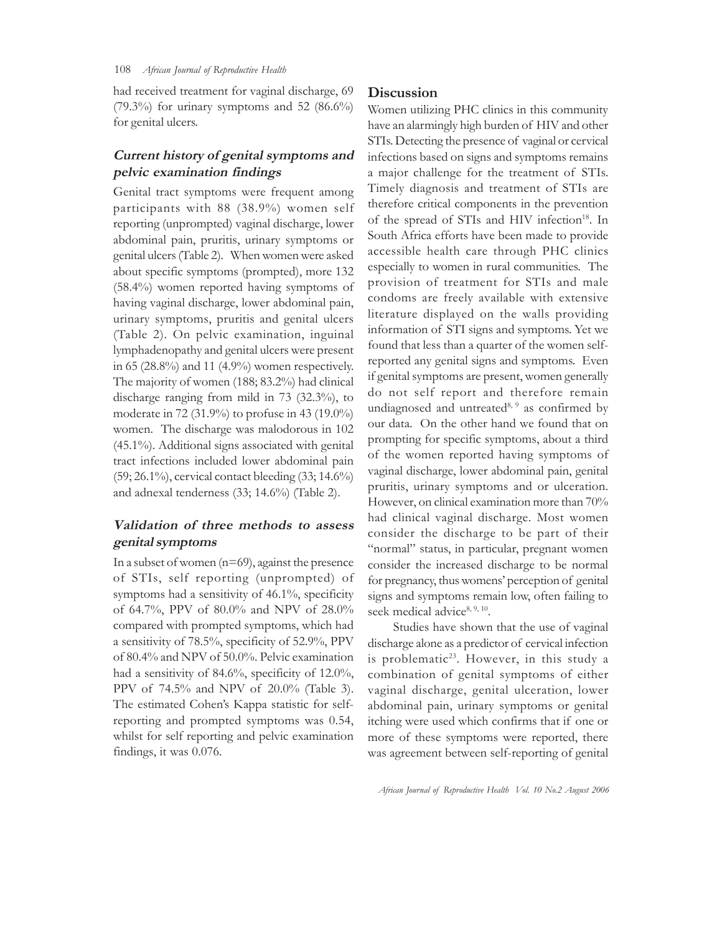had received treatment for vaginal discharge, 69  $(79.3\%)$  for urinary symptoms and 52  $(86.6\%)$ for genital ulcers.

# **Current history of genital symptoms and pelvic examination findings**

Genital tract symptoms were frequent among participants with 88 (38.9%) women self reporting (unprompted) vaginal discharge, lower abdominal pain, pruritis, urinary symptoms or genital ulcers (Table 2). When women were asked about specific symptoms (prompted), more 132 (58.4%) women reported having symptoms of having vaginal discharge, lower abdominal pain, urinary symptoms, pruritis and genital ulcers (Table 2). On pelvic examination, inguinal lymphadenopathy and genital ulcers were present in 65 (28.8%) and 11 (4.9%) women respectively. The majority of women (188; 83.2%) had clinical discharge ranging from mild in 73 (32.3%), to moderate in 72 (31.9%) to profuse in 43 (19.0%) women. The discharge was malodorous in 102 (45.1%). Additional signs associated with genital tract infections included lower abdominal pain (59; 26.1%), cervical contact bleeding (33; 14.6%) and adnexal tenderness (33; 14.6%) (Table 2).

# **Validation of three methods to assess genital symptoms**

In a subset of women  $(n=69)$ , against the presence of STIs, self reporting (unprompted) of symptoms had a sensitivity of 46.1%, specificity of 64.7%, PPV of 80.0% and NPV of 28.0% compared with prompted symptoms, which had a sensitivity of 78.5%, specificity of 52.9%, PPV of 80.4% and NPV of 50.0%. Pelvic examination had a sensitivity of 84.6%, specificity of 12.0%, PPV of 74.5% and NPV of 20.0% (Table 3). The estimated Cohen's Kappa statistic for selfreporting and prompted symptoms was 0.54, whilst for self reporting and pelvic examination findings, it was 0.076.

# **Discussion**

Women utilizing PHC clinics in this community have an alarmingly high burden of HIV and other STIs. Detecting the presence of vaginal or cervical infections based on signs and symptoms remains a major challenge for the treatment of STIs. Timely diagnosis and treatment of STIs are therefore critical components in the prevention of the spread of STIs and HIV infection<sup>18</sup>. In South Africa efforts have been made to provide accessible health care through PHC clinics especially to women in rural communities. The provision of treatment for STIs and male condoms are freely available with extensive literature displayed on the walls providing information of STI signs and symptoms. Yet we found that less than a quarter of the women selfreported any genital signs and symptoms. Even if genital symptoms are present, women generally do not self report and therefore remain undiagnosed and untreated $8,9$  as confirmed by our data. On the other hand we found that on prompting for specific symptoms, about a third of the women reported having symptoms of vaginal discharge, lower abdominal pain, genital pruritis, urinary symptoms and or ulceration. However, on clinical examination more than 70% had clinical vaginal discharge. Most women consider the discharge to be part of their "normal" status, in particular, pregnant women consider the increased discharge to be normal for pregnancy, thus womens' perception of genital signs and symptoms remain low, often failing to seek medical advice $8, 9, 10$ .

Studies have shown that the use of vaginal discharge alone as a predictor of cervical infection is problematic<sup>23</sup>. However, in this study a combination of genital symptoms of either vaginal discharge, genital ulceration, lower abdominal pain, urinary symptoms or genital itching were used which confirms that if one or more of these symptoms were reported, there was agreement between self-reporting of genital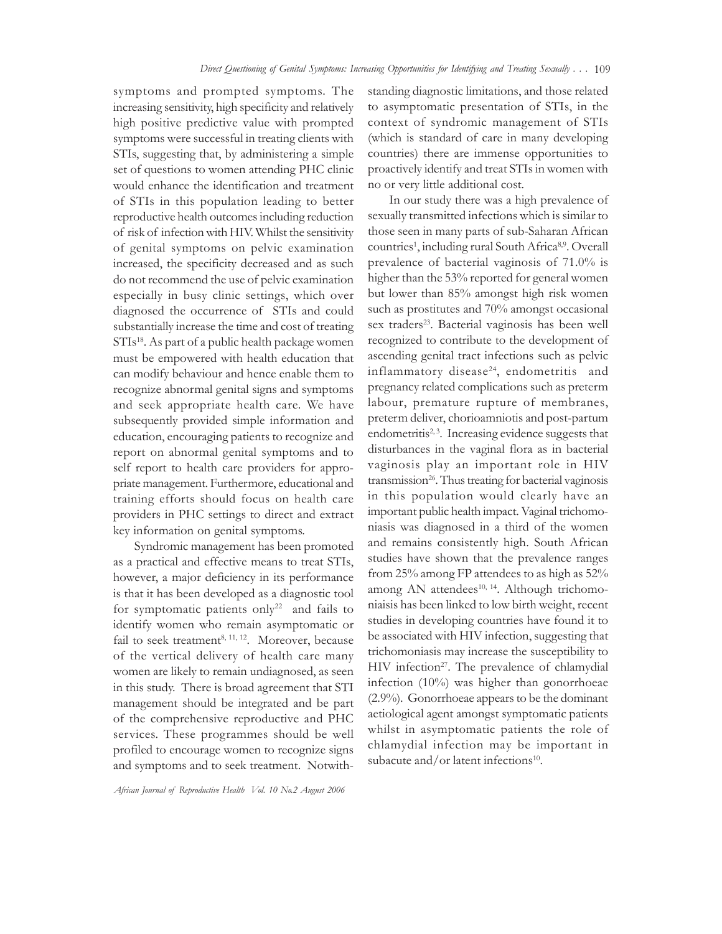symptoms and prompted symptoms. The increasing sensitivity, high specificity and relatively high positive predictive value with prompted symptoms were successful in treating clients with STIs, suggesting that, by administering a simple set of questions to women attending PHC clinic would enhance the identification and treatment of STIs in this population leading to better reproductive health outcomes including reduction of risk of infection with HIV. Whilst the sensitivity of genital symptoms on pelvic examination increased, the specificity decreased and as such do not recommend the use of pelvic examination especially in busy clinic settings, which over diagnosed the occurrence of STIs and could substantially increase the time and cost of treating STIs<sup>18</sup>. As part of a public health package women must be empowered with health education that can modify behaviour and hence enable them to recognize abnormal genital signs and symptoms and seek appropriate health care. We have subsequently provided simple information and education, encouraging patients to recognize and report on abnormal genital symptoms and to self report to health care providers for appropriate management. Furthermore, educational and training efforts should focus on health care providers in PHC settings to direct and extract key information on genital symptoms.

Syndromic management has been promoted as a practical and effective means to treat STIs, however, a major deficiency in its performance is that it has been developed as a diagnostic tool for symptomatic patients only<sup>22</sup> and fails to identify women who remain asymptomatic or fail to seek treatment<sup>8, 11, 12</sup>. Moreover, because of the vertical delivery of health care many women are likely to remain undiagnosed, as seen in this study. There is broad agreement that STI management should be integrated and be part of the comprehensive reproductive and PHC services. These programmes should be well profiled to encourage women to recognize signs and symptoms and to seek treatment. Notwith-

standing diagnostic limitations, and those related to asymptomatic presentation of STIs, in the context of syndromic management of STIs (which is standard of care in many developing countries) there are immense opportunities to proactively identify and treat STIs in women with no or very little additional cost.

In our study there was a high prevalence of sexually transmitted infections which is similar to those seen in many parts of sub-Saharan African countries<sup>1</sup>, including rural South Africa<sup>8,9</sup>. Overall prevalence of bacterial vaginosis of 71.0% is higher than the 53% reported for general women but lower than 85% amongst high risk women such as prostitutes and 70% amongst occasional sex traders<sup>23</sup>. Bacterial vaginosis has been well recognized to contribute to the development of ascending genital tract infections such as pelvic inflammatory disease<sup>24</sup>, endometritis and pregnancy related complications such as preterm labour, premature rupture of membranes, preterm deliver, chorioamniotis and post-partum endometritis<sup>2, 3</sup>. Increasing evidence suggests that disturbances in the vaginal flora as in bacterial vaginosis play an important role in HIV transmission<sup>26</sup>. Thus treating for bacterial vaginosis in this population would clearly have an important public health impact. Vaginal trichomoniasis was diagnosed in a third of the women and remains consistently high. South African studies have shown that the prevalence ranges from 25% among FP attendees to as high as 52% among AN attendees<sup>10, 14</sup>. Although trichomoniaisis has been linked to low birth weight, recent studies in developing countries have found it to be associated with HIV infection, suggesting that trichomoniasis may increase the susceptibility to HIV infection<sup>27</sup>. The prevalence of chlamydial infection (10%) was higher than gonorrhoeae (2.9%). Gonorrhoeae appears to be the dominant aetiological agent amongst symptomatic patients whilst in asymptomatic patients the role of chlamydial infection may be important in subacute and/or latent infections $10$ .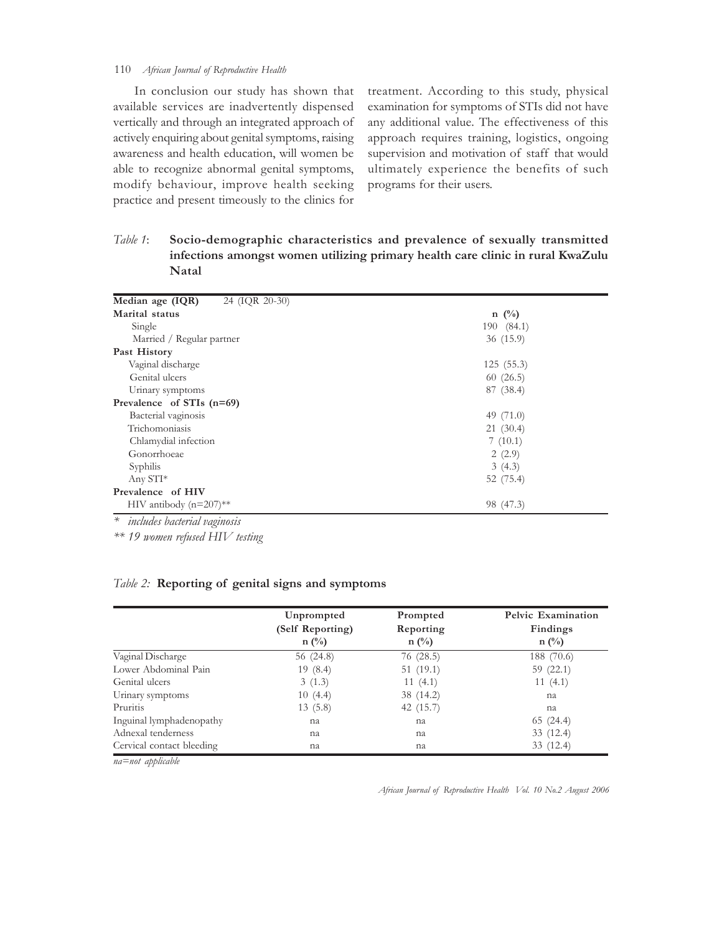## 110 *African Journal of Reproductive Health*

In conclusion our study has shown that available services are inadvertently dispensed vertically and through an integrated approach of actively enquiring about genital symptoms, raising awareness and health education, will women be able to recognize abnormal genital symptoms, modify behaviour, improve health seeking practice and present timeously to the clinics for

treatment. According to this study, physical examination for symptoms of STIs did not have any additional value. The effectiveness of this approach requires training, logistics, ongoing supervision and motivation of staff that would ultimately experience the benefits of such programs for their users.

*Table 1*: **Socio-demographic characteristics and prevalence of sexually transmitted infections amongst women utilizing primary health care clinic in rural KwaZulu Natal**

| Median age (IQR)<br>24 (IQR 20-30)   |             |
|--------------------------------------|-------------|
| Marital status                       | $n \ (\%)$  |
| Single                               | 190 (84.1)  |
| Married / Regular partner            | 36(15.9)    |
| Past History                         |             |
| Vaginal discharge                    | 125(5.3)    |
| Genital ulcers                       | 60(26.5)    |
| Urinary symptoms                     | 87 (38.4)   |
| Prevalence of STIs (n=69)            |             |
| Bacterial vaginosis                  | 49 $(71.0)$ |
| Trichomoniasis                       | 21(30.4)    |
| Chlamydial infection                 | 7(10.1)     |
| Gonorrhoeae                          | 2(2.9)      |
| Syphilis                             | 3(4.3)      |
| Any STI*                             | 52 (75.4)   |
| Prevalence of HIV                    |             |
| HIV antibody $(n=207)$ <sup>**</sup> | 98 (47.3)   |
| $*$ included partonial programacic   |             |

*\* includes bacterial vaginosis*

*\*\* 19 women refused HIV testing*

## *Table 2:* **Reporting of genital signs and symptoms**

|                           | Unprompted<br>(Self Reporting)<br>$n(^{0}/_{0})$ | Prompted<br>Reporting<br>$n(^{0}/_{0})$ | Pelvic Examination<br>Findings<br>$n(^{0}/_{0})$ |
|---------------------------|--------------------------------------------------|-----------------------------------------|--------------------------------------------------|
| Vaginal Discharge         | 56 (24.8)                                        | 76(28.5)                                | 188 (70.6)                                       |
| Lower Abdominal Pain      | 19(8.4)                                          | 51(19.1)                                | 59(22.1)                                         |
| Genital ulcers            | 3(1.3)                                           | 11(4.1)                                 | 11 $(4.1)$                                       |
| Urinary symptoms          | 10(4.4)                                          | 38 (14.2)                               | na                                               |
| Pruritis                  | 13(5.8)                                          | 42 (15.7)                               | na                                               |
| Inguinal lymphadenopathy  | na                                               | na                                      | 65(24.4)                                         |
| Adnexal tenderness        | na                                               | na                                      | 33(12.4)                                         |
| Cervical contact bleeding | na                                               | na                                      | 33 (12.4)                                        |

*na=not applicable*

*African Journal of Reproductive Health Vol. 10 No.2 August 2006*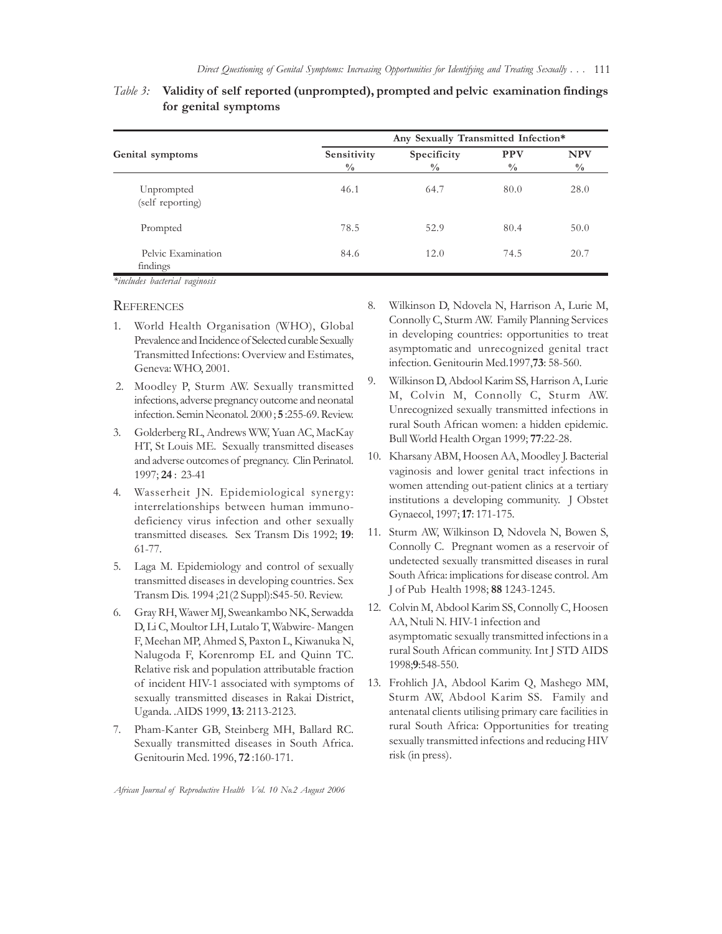| Genital symptoms               | Any Sexually Transmitted Infection* |                              |                             |                             |  |
|--------------------------------|-------------------------------------|------------------------------|-----------------------------|-----------------------------|--|
|                                | Sensitivity<br>$\frac{0}{0}$        | Specificity<br>$\frac{0}{0}$ | <b>PPV</b><br>$\frac{0}{0}$ | <b>NPV</b><br>$\frac{0}{0}$ |  |
| Unprompted<br>(self reporting) | 46.1                                | 64.7                         | 80.0                        | 28.0                        |  |
| Prompted                       | 78.5                                | 52.9                         | 80.4                        | 50.0                        |  |
| Pelvic Examination<br>findings | 84.6                                | 12.0                         | 74.5                        | 20.7                        |  |

# *Table 3:* **Validity of self reported (unprompted), prompted and pelvic examination findings for genital symptoms**

*\*includes bacterial vaginosis*

#### **REFERENCES**

- 1. World Health Organisation (WHO), Global Prevalence and Incidence of Selected curable Sexually Transmitted Infections: Overview and Estimates, Geneva: WHO, 2001.
- 2. Moodley P, Sturm AW. Sexually transmitted infections, adverse pregnancy outcome and neonatal infection. Semin Neonatol. 2000 ; **5** :255-69. Review.
- 3. Golderberg RL, Andrews WW, Yuan AC, MacKay HT, St Louis ME. Sexually transmitted diseases and adverse outcomes of pregnancy. Clin Perinatol. 1997; **24** : 23-41
- 4. Wasserheit JN. Epidemiological synergy: interrelationships between human immunodeficiency virus infection and other sexually transmitted diseases. Sex Transm Dis 1992; **19**: 61-77.
- 5. Laga M. Epidemiology and control of sexually transmitted diseases in developing countries. Sex Transm Dis. 1994 ;21(2 Suppl):S45-50. Review.
- 6. Gray RH, Wawer MJ, Sweankambo NK, Serwadda D, Li C, Moultor LH, Lutalo T, Wabwire- Mangen F, Meehan MP, Ahmed S, Paxton L, Kiwanuka N, Nalugoda F, Korenromp EL and Quinn TC. Relative risk and population attributable fraction of incident HIV-1 associated with symptoms of sexually transmitted diseases in Rakai District, Uganda. .AIDS 1999, **13**: 2113-2123.
- 7. Pham-Kanter GB, Steinberg MH, Ballard RC. Sexually transmitted diseases in South Africa. Genitourin Med. 1996, **72** :160-171.
- 8. Wilkinson D, Ndovela N, Harrison A, Lurie M, Connolly C, Sturm AW. Family Planning Services in developing countries: opportunities to treat asymptomatic and unrecognized genital tract infection. Genitourin Med.1997,**73**: 58-560.
- 9. Wilkinson D, Abdool Karim SS, Harrison A, Lurie M, Colvin M, Connolly C, Sturm AW. Unrecognized sexually transmitted infections in rural South African women: a hidden epidemic. Bull World Health Organ 1999; **77**:22-28.
- 10. Kharsany ABM, Hoosen AA, Moodley J. Bacterial vaginosis and lower genital tract infections in women attending out-patient clinics at a tertiary institutions a developing community. J Obstet Gynaecol, 1997; **17**: 171-175.
- 11. Sturm AW, Wilkinson D, Ndovela N, Bowen S, Connolly C. Pregnant women as a reservoir of undetected sexually transmitted diseases in rural South Africa: implications for disease control. Am J of Pub Health 1998; **88** 1243-1245.
- 12. Colvin M, Abdool Karim SS, Connolly C, Hoosen AA, Ntuli N. HIV-1 infection and asymptomatic sexually transmitted infections in a rural South African community. Int J STD AIDS 1998;**9**:548-550.
- 13. Frohlich JA, Abdool Karim Q, Mashego MM, Sturm AW, Abdool Karim SS. Family and antenatal clients utilising primary care facilities in rural South Africa: Opportunities for treating sexually transmitted infections and reducing HIV risk (in press).